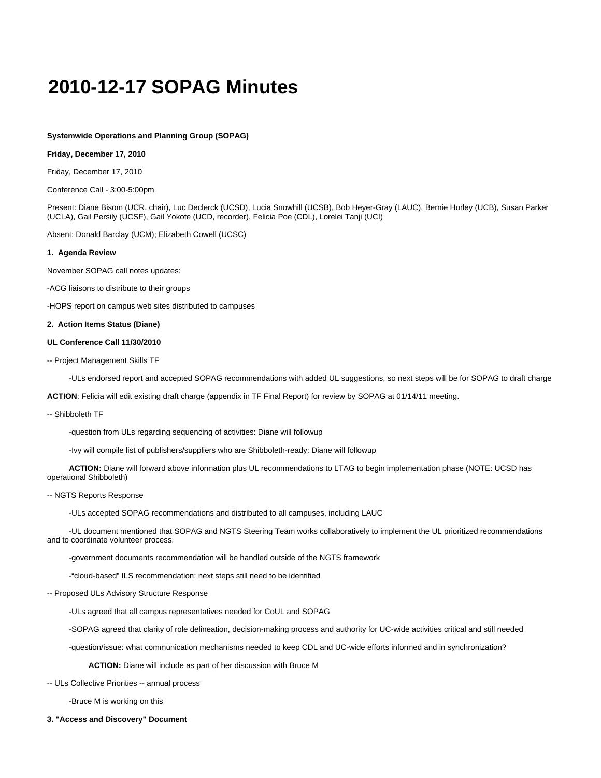# **2010-12-17 SOPAG Minutes**

## **Systemwide Operations and Planning Group (SOPAG)**

#### **Friday, December 17, 2010**

Friday, December 17, 2010

Conference Call - 3:00-5:00pm

Present: Diane Bisom (UCR, chair), Luc Declerck (UCSD), Lucia Snowhill (UCSB), Bob Heyer-Gray (LAUC), Bernie Hurley (UCB), Susan Parker (UCLA), Gail Persily (UCSF), Gail Yokote (UCD, recorder), Felicia Poe (CDL), Lorelei Tanji (UCI)

Absent: Donald Barclay (UCM); Elizabeth Cowell (UCSC)

#### **1. Agenda Review**

November SOPAG call notes updates:

-ACG liaisons to distribute to their groups

-HOPS report on campus web sites distributed to campuses

### **2. Action Items Status (Diane)**

#### **UL Conference Call 11/30/2010**

-- Project Management Skills TF

-ULs endorsed report and accepted SOPAG recommendations with added UL suggestions, so next steps will be for SOPAG to draft charge

**ACTION**: Felicia will edit existing draft charge (appendix in TF Final Report) for review by SOPAG at 01/14/11 meeting.

-- Shibboleth TF

-question from ULs regarding sequencing of activities: Diane will followup

-Ivy will compile list of publishers/suppliers who are Shibboleth-ready: Diane will followup

 **ACTION:** Diane will forward above information plus UL recommendations to LTAG to begin implementation phase (NOTE: UCSD has operational Shibboleth)

#### -- NGTS Reports Response

-ULs accepted SOPAG recommendations and distributed to all campuses, including LAUC

 -UL document mentioned that SOPAG and NGTS Steering Team works collaboratively to implement the UL prioritized recommendations and to coordinate volunteer process.

-government documents recommendation will be handled outside of the NGTS framework

-"cloud-based" ILS recommendation: next steps still need to be identified

-- Proposed ULs Advisory Structure Response

-ULs agreed that all campus representatives needed for CoUL and SOPAG

-SOPAG agreed that clarity of role delineation, decision-making process and authority for UC-wide activities critical and still needed

-question/issue: what communication mechanisms needed to keep CDL and UC-wide efforts informed and in synchronization?

**ACTION:** Diane will include as part of her discussion with Bruce M

-- ULs Collective Priorities -- annual process

-Bruce M is working on this

**3. "Access and Discovery" Document**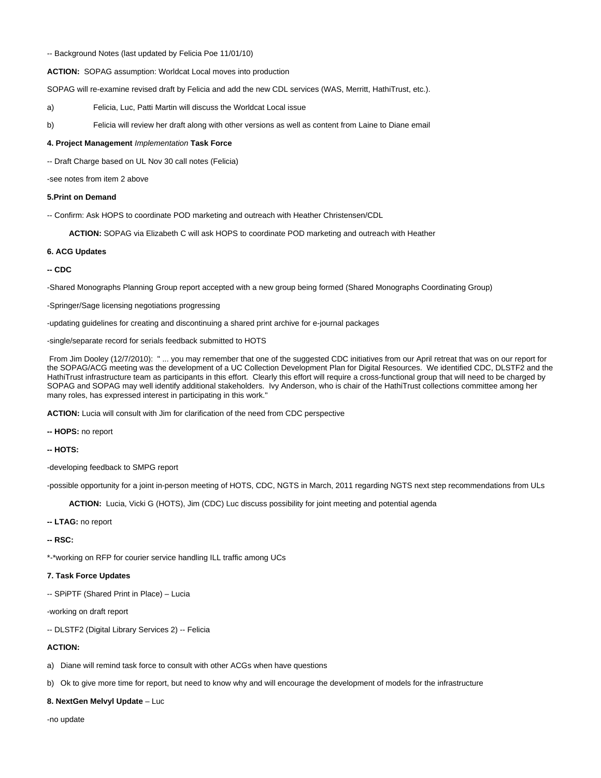**ACTION:** SOPAG assumption: Worldcat Local moves into production

SOPAG will re-examine revised draft by Felicia and add the new CDL services (WAS, Merritt, HathiTrust, etc.).

a) Felicia, Luc, Patti Martin will discuss the Worldcat Local issue

b) Felicia will review her draft along with other versions as well as content from Laine to Diane email

### **4. Project Management** Implementation **Task Force**

-- Draft Charge based on UL Nov 30 call notes (Felicia)

-see notes from item 2 above

### **5.Print on Demand**

-- Confirm: Ask HOPS to coordinate POD marketing and outreach with Heather Christensen/CDL

**ACTION:** SOPAG via Elizabeth C will ask HOPS to coordinate POD marketing and outreach with Heather

### **6. ACG Updates**

## **-- CDC**

-Shared Monographs Planning Group report accepted with a new group being formed (Shared Monographs Coordinating Group)

-Springer/Sage licensing negotiations progressing

-updating guidelines for creating and discontinuing a shared print archive for e-journal packages

-single/separate record for serials feedback submitted to HOTS

From Jim Dooley (12/7/2010): " ... you may remember that one of the suggested CDC initiatives from our April retreat that was on our report for the SOPAG/ACG meeting was the development of a UC Collection Development Plan for Digital Resources. We identified CDC, DLSTF2 and the HathiTrust infrastructure team as participants in this effort. Clearly this effort will require a cross-functional group that will need to be charged by SOPAG and SOPAG may well identify additional stakeholders. Ivy Anderson, who is chair of the HathiTrust collections committee among her many roles, has expressed interest in participating in this work."

**ACTION:** Lucia will consult with Jim for clarification of the need from CDC perspective

**-- HOPS:** no report

**-- HOTS:**

-developing feedback to SMPG report

-possible opportunity for a joint in-person meeting of HOTS, CDC, NGTS in March, 2011 regarding NGTS next step recommendations from ULs

**ACTION:** Lucia, Vicki G (HOTS), Jim (CDC) Luc discuss possibility for joint meeting and potential agenda

**-- LTAG:** no report

**-- RSC:**

\*-\*working on RFP for courier service handling ILL traffic among UCs

## **7. Task Force Updates**

-- SPiPTF (Shared Print in Place) – Lucia

-working on draft report

-- DLSTF2 (Digital Library Services 2) -- Felicia

## **ACTION:**

a) Diane will remind task force to consult with other ACGs when have questions

b) Ok to give more time for report, but need to know why and will encourage the development of models for the infrastructure

**8. NextGen Melvyl Update** – Luc

-no update

<sup>--</sup> Background Notes (last updated by Felicia Poe 11/01/10)